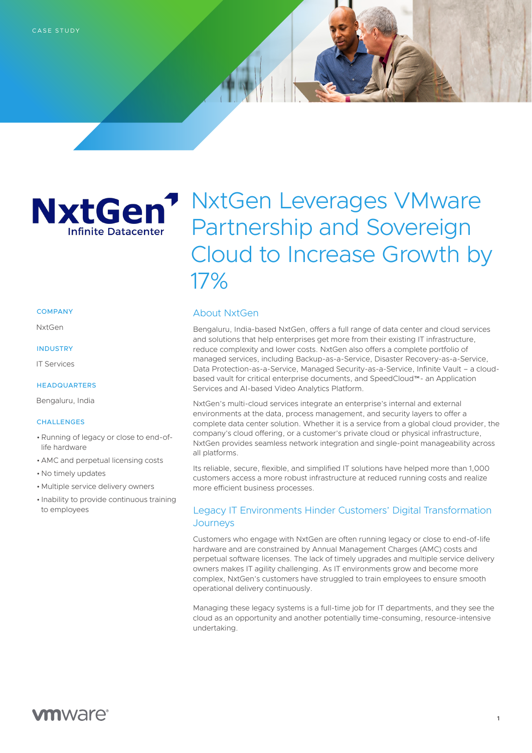

# NxtGen Leverages VMware Partnership and Sovereign Cloud to Increase Growth by 17%

### **COMPANY**

NxtGen

### INDUSTRY

IT Services

# HEADQUARTERS

Bengaluru, India

#### **CHALLENGES**

- •Running of legacy or close to end-oflife hardware
- AMC and perpetual licensing costs
- No timely updates
- Multiple service delivery owners
- Inability to provide continuous training to employees

# About NxtGen

Bengaluru, India-based NxtGen, offers a full range of data center and cloud services and solutions that help enterprises get more from their existing IT infrastructure, reduce complexity and lower costs. NxtGen also offers a complete portfolio of managed services, including Backup-as-a-Service, Disaster Recovery-as-a-Service, Data Protection-as-a-Service, Managed Security-as-a-Service, Infinite Vault – a cloudbased vault for critical enterprise documents, and SpeedCloud™- an Application Services and AI-based Video Analytics Platform.

NxtGen's multi-cloud services integrate an enterprise's internal and external environments at the data, process management, and security layers to offer a complete data center solution. Whether it is a service from a global cloud provider, the company's cloud offering, or a customer's private cloud or physical infrastructure, NxtGen provides seamless network integration and single-point manageability across all platforms.

Its reliable, secure, flexible, and simplified IT solutions have helped more than 1,000 customers access a more robust infrastructure at reduced running costs and realize more efficient business processes.

# Legacy IT Environments Hinder Customers' Digital Transformation **Journeys**

Customers who engage with NxtGen are often running legacy or close to end-of-life hardware and are constrained by Annual Management Charges (AMC) costs and perpetual software licenses. The lack of timely upgrades and multiple service delivery owners makes IT agility challenging. As IT environments grow and become more complex, NxtGen's customers have struggled to train employees to ensure smooth operational delivery continuously.

Managing these legacy systems is a full-time job for IT departments, and they see the cloud as an opportunity and another potentially time-consuming, resource-intensive undertaking.

# **vm**ware<sup>®</sup>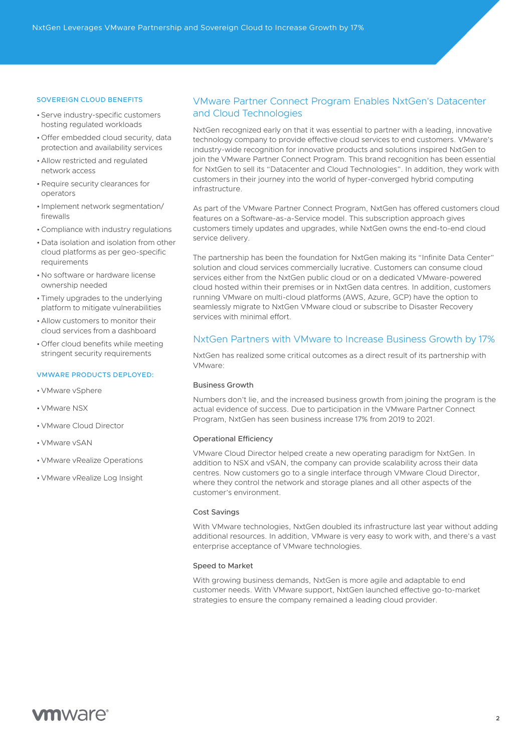#### SOVEREIGN CLOUD BENEFITS

- Serve industry-specific customers hosting regulated workloads
- Offer embedded cloud security, data protection and availability services
- Allow restricted and regulated network access
- •Require security clearances for operators
- Implement network segmentation/ firewalls
- •Compliance with industry regulations
- Data isolation and isolation from other cloud platforms as per geo-specific requirements
- No software or hardware license ownership needed
- Timely upgrades to the underlying platform to mitigate vulnerabilities
- Allow customers to monitor their cloud services from a dashboard
- Offer cloud benefits while meeting stringent security requirements

# VMWARE PRODUCTS DEPLOYED:

- *VMware vSphere*
- VMware NSX
- VMware Cloud Director
- VMware vSAN
- VMware vRealize Operations
- VMware vRealize Log Insight

# VMware Partner Connect Program Enables NxtGen's Datacenter and Cloud Technologies

NxtGen recognized early on that it was essential to partner with a leading, innovative technology company to provide effective cloud services to end customers. VMware's industry-wide recognition for innovative products and solutions inspired NxtGen to join the VMware Partner Connect Program. This brand recognition has been essential for NxtGen to sell its "Datacenter and Cloud Technologies". In addition, they work with customers in their journey into the world of hyper-converged hybrid computing infrastructure.

As part of the VMware Partner Connect Program, NxtGen has offered customers cloud features on a Software-as-a-Service model. This subscription approach gives customers timely updates and upgrades, while NxtGen owns the end-to-end cloud service delivery.

The partnership has been the foundation for NxtGen making its "Infinite Data Center" solution and cloud services commercially lucrative. Customers can consume cloud services either from the NxtGen public cloud or on a dedicated VMware-powered cloud hosted within their premises or in NxtGen data centres. In addition, customers running VMware on multi-cloud platforms (AWS, Azure, GCP) have the option to seamlessly migrate to NxtGen VMware cloud or subscribe to Disaster Recovery services with minimal effort.

# NxtGen Partners with VMware to Increase Business Growth by 17%

NxtGen has realized some critical outcomes as a direct result of its partnership with VMware:

#### Business Growth

Numbers don't lie, and the increased business growth from joining the program is the actual evidence of success. Due to participation in the VMware Partner Connect Program, NxtGen has seen business increase 17% from 2019 to 2021.

#### Operational Efficiency

VMware Cloud Director helped create a new operating paradigm for NxtGen. In addition to NSX and vSAN, the company can provide scalability across their data centres. Now customers go to a single interface through VMware Cloud Director, where they control the network and storage planes and all other aspects of the customer's environment.

## Cost Savings

With VMware technologies, NxtGen doubled its infrastructure last year without adding additional resources. In addition, VMware is very easy to work with, and there's a vast enterprise acceptance of VMware technologies.

## Speed to Market

With growing business demands, NxtGen is more agile and adaptable to end customer needs. With VMware support, NxtGen launched effective go-to-market strategies to ensure the company remained a leading cloud provider.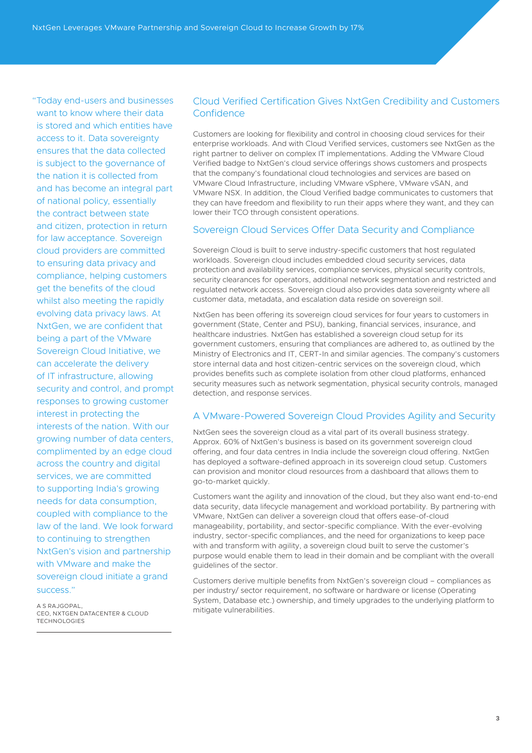"Today end-users and businesses want to know where their data is stored and which entities have access to it. Data sovereignty ensures that the data collected is subject to the governance of the nation it is collected from and has become an integral part of national policy, essentially the contract between state and citizen, protection in return for law acceptance. Sovereign cloud providers are committed to ensuring data privacy and compliance, helping customers get the benefits of the cloud whilst also meeting the rapidly evolving data privacy laws. At NxtGen, we are confident that being a part of the VMware Sovereign Cloud Initiative, we can accelerate the delivery of IT infrastructure, allowing security and control, and prompt responses to growing customer interest in protecting the interests of the nation. With our growing number of data centers, complimented by an edge cloud across the country and digital services, we are committed to supporting India's growing needs for data consumption, coupled with compliance to the law of the land. We look forward to continuing to strengthen NxtGen's vision and partnership with VMware and make the sovereign cloud initiate a grand success."

A S RAJGOPAL, CEO, NXTGEN DATACENTER & CLOUD TECHNOLOGIES

# Cloud Verified Certification Gives NxtGen Credibility and Customers **Confidence**

Customers are looking for flexibility and control in choosing cloud services for their enterprise workloads. And with Cloud Verified services, customers see NxtGen as the right partner to deliver on complex IT implementations. Adding the VMware Cloud Verified badge to NxtGen's cloud service offerings shows customers and prospects that the company's foundational cloud technologies and services are based on VMware Cloud Infrastructure, including VMware vSphere, VMware vSAN, and VMware NSX. In addition, the Cloud Verified badge communicates to customers that they can have freedom and flexibility to run their apps where they want, and they can lower their TCO through consistent operations.

# Sovereign Cloud Services Offer Data Security and Compliance

Sovereign Cloud is built to serve industry-specific customers that host regulated workloads. Sovereign cloud includes embedded cloud security services, data protection and availability services, compliance services, physical security controls, security clearances for operators, additional network segmentation and restricted and regulated network access. Sovereign cloud also provides data sovereignty where all customer data, metadata, and escalation data reside on sovereign soil.

NxtGen has been offering its sovereign cloud services for four years to customers in government (State, Center and PSU), banking, financial services, insurance, and healthcare industries. NxtGen has established a sovereign cloud setup for its government customers, ensuring that compliances are adhered to, as outlined by the Ministry of Electronics and IT, CERT-In and similar agencies. The company's customers store internal data and host citizen-centric services on the sovereign cloud, which provides benefits such as complete isolation from other cloud platforms, enhanced security measures such as network segmentation, physical security controls, managed detection, and response services.

# A VMware-Powered Sovereign Cloud Provides Agility and Security

NxtGen sees the sovereign cloud as a vital part of its overall business strategy. Approx. 60% of NxtGen's business is based on its government sovereign cloud offering, and four data centres in India include the sovereign cloud offering. NxtGen has deployed a software-defined approach in its sovereign cloud setup. Customers can provision and monitor cloud resources from a dashboard that allows them to go-to-market quickly.

Customers want the agility and innovation of the cloud, but they also want end-to-end data security, data lifecycle management and workload portability. By partnering with VMware, NxtGen can deliver a sovereign cloud that offers ease-of-cloud manageability, portability, and sector-specific compliance. With the ever-evolving industry, sector-specific compliances, and the need for organizations to keep pace with and transform with agility, a sovereign cloud built to serve the customer's purpose would enable them to lead in their domain and be compliant with the overall guidelines of the sector.

Customers derive multiple benefits from NxtGen's sovereign cloud – compliances as per industry/ sector requirement, no software or hardware or license (Operating System, Database etc.) ownership, and timely upgrades to the underlying platform to mitigate vulnerabilities.